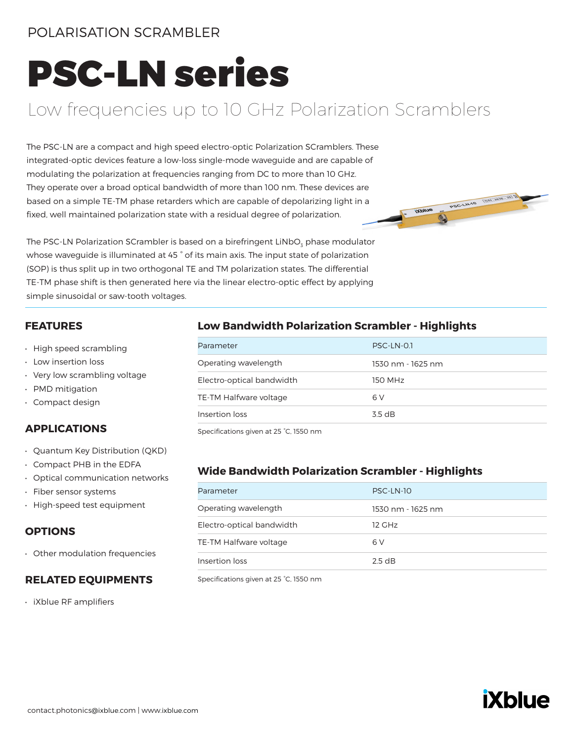### POLARISATION SCRAMBLER

# PSC-LN series

# Low frequencies up to 10 GHz Polarization Scramblers

The PSC-LN are a compact and high speed electro-optic Polarization SCramblers. These integrated-optic devices feature a low-loss single-mode waveguide and are capable of modulating the polarization at frequencies ranging from DC to more than 10 GHz. They operate over a broad optical bandwidth of more than 100 nm. These devices are based on a simple TE-TM phase retarders which are capable of depolarizing light in a fixed, well maintained polarization state with a residual degree of polarization.



The PSC-LN Polarization SCrambler is based on a birefringent LiNbO<sub>3</sub> phase modulator whose waveguide is illuminated at 45 ° of its main axis. The input state of polarization (SOP) is thus split up in two orthogonal TE and TM polarization states. The differential TE-TM phase shift is then generated here via the linear electro-optic effect by applying simple sinusoidal or saw-tooth voltages.

#### **FEATURES**

- High speed scrambling
- Low insertion loss
- Very low scrambling voltage
- PMD mitigation
- Compact design

#### **APPLICATIONS**

- Quantum Key Distribution (QKD)
- Compact PHB in the EDFA
- Optical communication networks
- Fiber sensor systems
- High-speed test equipment

#### **OPTIONS**

• Other modulation frequencies

#### **RELATED EQUIPMENTS**

• iXblue RF amplifiers

#### **Low Bandwidth Polarization Scrambler - Highlights**

| Parameter                 | PSC-LN-0.1        |
|---------------------------|-------------------|
| Operating wavelength      | 1530 nm - 1625 nm |
| Electro-optical bandwidth | 150 MHz           |
| TE-TM Halfware voltage    | 6 V               |
| Insertion loss            | 35 dB             |

Specifications given at 25 °C, 1550 nm

#### **Wide Bandwidth Polarization Scrambler - Highlights**

| Parameter                 | PSC-LN-10         |
|---------------------------|-------------------|
| Operating wavelength      | 1530 nm - 1625 nm |
| Electro-optical bandwidth | 12 GHz            |
| TE-TM Halfware voltage    | 6 V               |
| Insertion loss            | 2.5 dB            |

Specifications given at 25 °C, 1550 nm

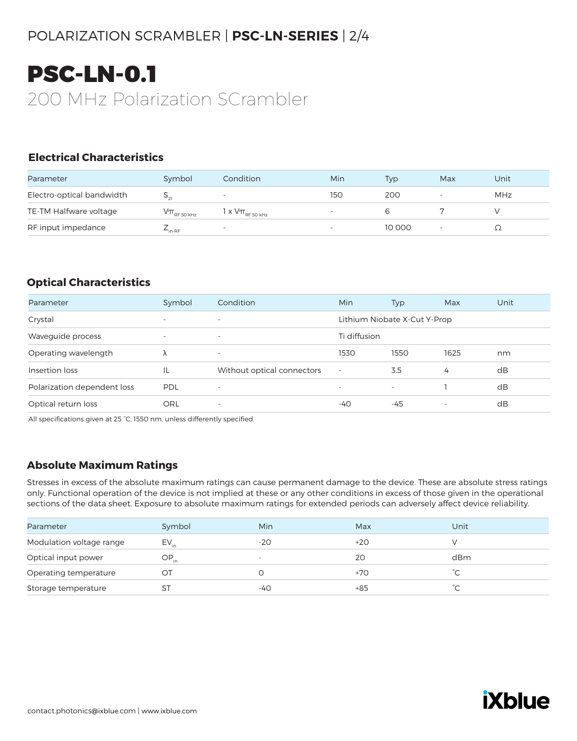# POLARIZATION SCRAMBLER | **PSC-LN-SERIES** | 2/4

# PSC-LN-0.1 200 MHz Polarization SCrambler

#### **Electrical Characteristics**

| Parameter                 | Symbol              | Condition                     | Min | Typ    | Max                      | Unit |
|---------------------------|---------------------|-------------------------------|-----|--------|--------------------------|------|
| Electro-optical bandwidth |                     |                               | 150 | 200    |                          | MHz  |
| TE-TM Halfware voltage    | $V\pi_{RF,50\,kHz}$ | 1 x $\rm V\pi_{_{RF50\,kHz}}$ |     |        |                          |      |
| RF input impedance        | $E_{\text{in-RF}}$  | ۰                             |     | 10 000 | $\overline{\phantom{a}}$ |      |

#### **Optical Characteristics**

| Parameter                   | Symbol                   | Condition                  | <b>Min</b>               | Typ                          | Max                      | Unit |
|-----------------------------|--------------------------|----------------------------|--------------------------|------------------------------|--------------------------|------|
| Crystal                     | $\overline{\phantom{a}}$ | $\overline{\phantom{a}}$   |                          | Lithium Niobate X-Cut Y-Prop |                          |      |
| Waveguide process           | $\overline{\phantom{a}}$ | $\overline{\phantom{a}}$   | Ti diffusion             |                              |                          |      |
| Operating wavelength        | Λ                        | $\overline{\phantom{a}}$   | 1530                     | 1550                         | 1625                     | nm   |
| Insertion loss              | IL                       | Without optical connectors | $\sim$                   | 3.5                          | 4                        | dB   |
| Polarization dependent loss | <b>PDL</b>               | $\overline{\phantom{m}}$   | $\overline{\phantom{a}}$ | $\overline{\phantom{a}}$     |                          | dB   |
| Optical return loss         | ORL                      | $\overline{\phantom{a}}$   | -40                      | -45                          | $\overline{\phantom{a}}$ | dB   |

All specifications given at 25 °C, 1550 nm, unless differently specified.

#### **Absolute Maximum Ratings**

Stresses in excess of the absolute maximum ratings can cause permanent damage to the device. These are absolute stress ratings only. Functional operation of the device is not implied at these or any other conditions in excess of those given in the operational sections of the data sheet. Exposure to absolute maximum ratings for extended periods can adversely affect device reliability.

| Parameter                | Symbol    | Min    | Max   | Unit   |
|--------------------------|-----------|--------|-------|--------|
| Modulation voltage range | $EV_{in}$ | $-20$  | $+20$ |        |
| Optical input power      | OP.       | $\sim$ | 20    | dBm    |
| Operating temperature    | OT        |        | +70   |        |
| Storage temperature      |           | -40    | $+85$ | $\sim$ |
|                          |           |        |       |        |

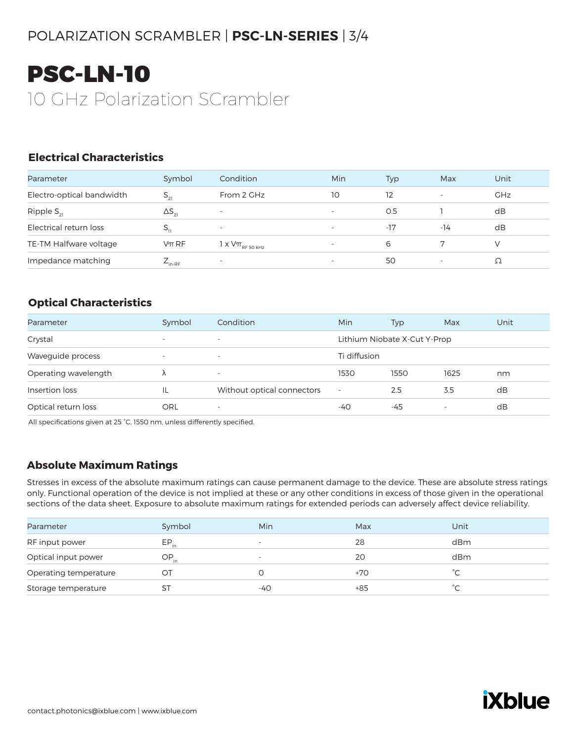# POLARIZATION SCRAMBLER | **PSC-LN-SERIES** | 3/4

# PSC-LN-10 10 GHz Polarization SCrambler

#### **Electrical Characteristics**

| Parameter                 | Symbol             | Condition                                                                               | <b>Min</b>               | <b>Typ</b> | Max                      | Unit       |
|---------------------------|--------------------|-----------------------------------------------------------------------------------------|--------------------------|------------|--------------------------|------------|
| Electro-optical bandwidth | $S_{21}$           | From 2 GHz                                                                              | 10                       | 12         | $\overline{\phantom{0}}$ | <b>GHz</b> |
| Ripple $S_{21}$           | $\Delta S_{21}$    | $\overline{\phantom{0}}$                                                                | $\overline{\phantom{0}}$ | O.5        |                          | dB         |
| Electrical return loss    | $5^{\prime}$       | $\overline{\phantom{0}}$                                                                | $\overline{\phantom{a}}$ | $-17$      | $-14$                    | dB         |
| TE-TM Halfware voltage    | $\nabla \pi R F$   | 1 x $\mathsf{V}\pi_{\scriptscriptstyle\mathrm{RF}\,50\,\scriptscriptstyle\mathrm{kHz}}$ | $\overline{\phantom{a}}$ | 6          |                          |            |
| Impedance matching        | $L_{\text{in-RF}}$ | $\overline{\phantom{a}}$                                                                |                          | 50         | $\overline{\phantom{0}}$ |            |

#### **Optical Characteristics**

| Parameter            | Symbol                   | Condition                  | <b>Min</b>   | <b>Typ</b>                   | Max  | Unit |
|----------------------|--------------------------|----------------------------|--------------|------------------------------|------|------|
| Crystal              | $\overline{\phantom{a}}$ | $\overline{\phantom{a}}$   |              | Lithium Niobate X-Cut Y-Prop |      |      |
| Waveguide process    | $\overline{\phantom{a}}$ | $\overline{\phantom{a}}$   | Ti diffusion |                              |      |      |
| Operating wavelength |                          | $\overline{\phantom{a}}$   | 1530         | 1550                         | 1625 | nm   |
| Insertion loss       | IL                       | Without optical connectors | $\sim$       | 2.5                          | 3.5  | dB   |
| Optical return loss  | <b>ORL</b>               | $\overline{\phantom{a}}$   | -40          | -45                          |      | dB   |

All specifications given at 25 °C, 1550 nm, unless differently specified.

#### **Absolute Maximum Ratings**

Stresses in excess of the absolute maximum ratings can cause permanent damage to the device. These are absolute stress ratings only. Functional operation of the device is not implied at these or any other conditions in excess of those given in the operational sections of the data sheet. Exposure to absolute maximum ratings for extended periods can adversely affect device reliability.

| Parameter             | Symbol    | Min                      | Max   | Unit                |
|-----------------------|-----------|--------------------------|-------|---------------------|
| RF input power        | EP.       | $\overline{\phantom{0}}$ | 28    | dBm                 |
| Optical input power   | $OP_{in}$ | $\overline{\phantom{0}}$ | 20    | dBm                 |
| Operating temperature | OT        |                          | +70   |                     |
| Storage temperature   | SТ        | $-40$                    | $+85$ | $\hat{\phantom{a}}$ |
|                       |           |                          |       |                     |